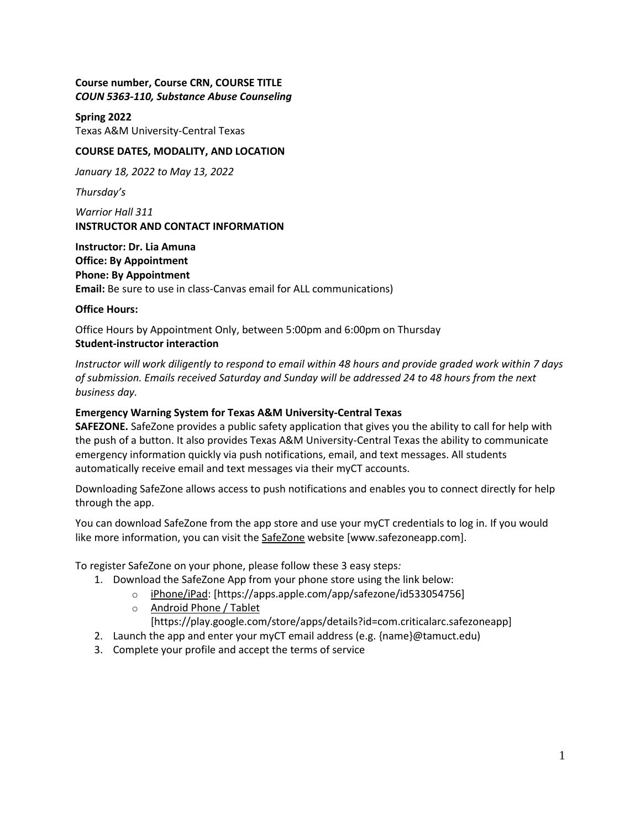## **Course number, Course CRN, COURSE TITLE** *COUN 5363-110, Substance Abuse Counseling*

**Spring 2022** Texas A&M University-Central Texas

## **COURSE DATES, MODALITY, AND LOCATION**

*January 18, 2022 to May 13, 2022*

*Thursday's*

*Warrior Hall 311* **INSTRUCTOR AND CONTACT INFORMATION**

**Instructor: Dr. Lia Amuna Office: By Appointment Phone: By Appointment Email:** Be sure to use in class-Canvas email for ALL communications)

#### **Office Hours:**

Office Hours by Appointment Only, between 5:00pm and 6:00pm on Thursday **Student-instructor interaction**

*Instructor will work diligently to respond to email within 48 hours and provide graded work within 7 days of submission. Emails received Saturday and Sunday will be addressed 24 to 48 hours from the next business day.*

## **Emergency Warning System for Texas A&M University-Central Texas**

**SAFEZONE.** SafeZone provides a public safety application that gives you the ability to call for help with the push of a button. It also provides Texas A&M University-Central Texas the ability to communicate emergency information quickly via push notifications, email, and text messages. All students automatically receive email and text messages via their myCT accounts.

Downloading SafeZone allows access to push notifications and enables you to connect directly for help through the app.

You can download SafeZone from the app store and use your myCT credentials to log in. If you would like more information, you can visit the [SafeZone](http://www.safezoneapp.com/) website [www.safezoneapp.com].

To register SafeZone on your phone, please follow these 3 easy steps*:*

- 1. Download the SafeZone App from your phone store using the link below:
	- o [iPhone/iPad:](https://apps.apple.com/app/safezone/id533054756) [https://apps.apple.com/app/safezone/id533054756]
	- o [Android Phone / Tablet](https://play.google.com/store/apps/details?id=com.criticalarc.safezoneapp)

[https://play.google.com/store/apps/details?id=com.criticalarc.safezoneapp]

- 2. Launch the app and enter your myCT email address (e.g. {name}@tamuct.edu)
- 3. Complete your profile and accept the terms of service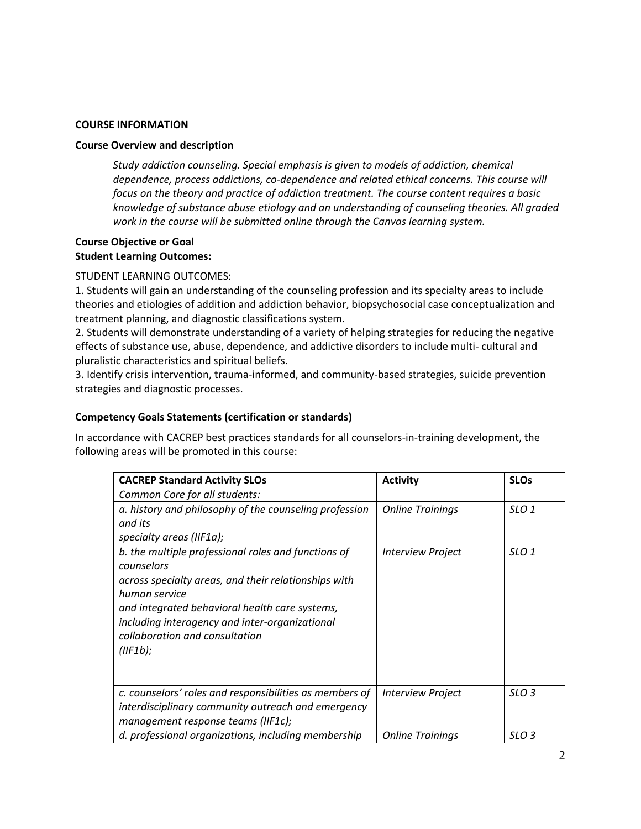### **COURSE INFORMATION**

#### **Course Overview and description**

*Study addiction counseling. Special emphasis is given to models of addiction, chemical dependence, process addictions, co-dependence and related ethical concerns. This course will focus on the theory and practice of addiction treatment. The course content requires a basic knowledge of substance abuse etiology and an understanding of counseling theories. All graded work in the course will be submitted online through the Canvas learning system.*

# **Course Objective or Goal Student Learning Outcomes:**

STUDENT LEARNING OUTCOMES:

1. Students will gain an understanding of the counseling profession and its specialty areas to include theories and etiologies of addition and addiction behavior, biopsychosocial case conceptualization and treatment planning, and diagnostic classifications system.

2. Students will demonstrate understanding of a variety of helping strategies for reducing the negative effects of substance use, abuse, dependence, and addictive disorders to include multi- cultural and pluralistic characteristics and spiritual beliefs.

3. Identify crisis intervention, trauma-informed, and community-based strategies, suicide prevention strategies and diagnostic processes.

## **Competency Goals Statements (certification or standards)**

In accordance with CACREP best practices standards for all counselors-in-training development, the following areas will be promoted in this course:

| <b>CACREP Standard Activity SLOs</b>                    | <b>Activity</b>          | <b>SLOs</b>      |
|---------------------------------------------------------|--------------------------|------------------|
| Common Core for all students:                           |                          |                  |
| a. history and philosophy of the counseling profession  | <b>Online Trainings</b>  | SLO <sub>1</sub> |
| and its                                                 |                          |                  |
| specialty areas (IIF1a);                                |                          |                  |
| b. the multiple professional roles and functions of     | <b>Interview Project</b> | SLO <sub>1</sub> |
| counselors                                              |                          |                  |
| across specialty areas, and their relationships with    |                          |                  |
| human service                                           |                          |                  |
| and integrated behavioral health care systems,          |                          |                  |
| including interagency and inter-organizational          |                          |                  |
| collaboration and consultation                          |                          |                  |
| $(IIF1b)$ ;                                             |                          |                  |
|                                                         |                          |                  |
|                                                         |                          |                  |
| c. counselors' roles and responsibilities as members of | <b>Interview Project</b> | SLO <sub>3</sub> |
| interdisciplinary community outreach and emergency      |                          |                  |
| management response teams (IIF1c);                      |                          |                  |
| d. professional organizations, including membership     | <b>Online Trainings</b>  | SLO 3            |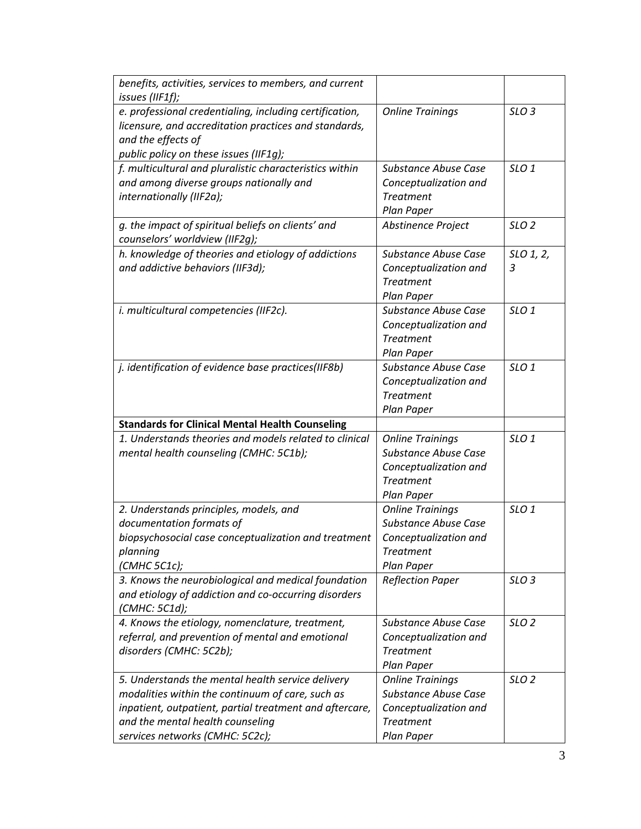| benefits, activities, services to members, and current  |                                           |                  |
|---------------------------------------------------------|-------------------------------------------|------------------|
| issues (IIF1f);                                         |                                           |                  |
| e. professional credentialing, including certification, | <b>Online Trainings</b>                   | SLO <sub>3</sub> |
| licensure, and accreditation practices and standards,   |                                           |                  |
| and the effects of                                      |                                           |                  |
| public policy on these issues (IIF1g);                  |                                           |                  |
| f. multicultural and pluralistic characteristics within | <b>Substance Abuse Case</b>               | SLO <sub>1</sub> |
| and among diverse groups nationally and                 | Conceptualization and                     |                  |
| internationally (IIF2a);                                | <b>Treatment</b>                          |                  |
|                                                         | Plan Paper                                |                  |
| g. the impact of spiritual beliefs on clients' and      | Abstinence Project                        | SLO <sub>2</sub> |
| counselors' worldview (IIF2g);                          |                                           |                  |
| h. knowledge of theories and etiology of addictions     | <b>Substance Abuse Case</b>               | SLO 1, 2,        |
| and addictive behaviors (IIF3d);                        | Conceptualization and                     | 3                |
|                                                         | <b>Treatment</b>                          |                  |
|                                                         | Plan Paper<br><b>Substance Abuse Case</b> | SLO <sub>1</sub> |
| i. multicultural competencies (IIF2c).                  | Conceptualization and                     |                  |
|                                                         | <b>Treatment</b>                          |                  |
|                                                         | Plan Paper                                |                  |
| j. identification of evidence base practices(IIF8b)     | <b>Substance Abuse Case</b>               | SLO <sub>1</sub> |
|                                                         | Conceptualization and                     |                  |
|                                                         | <b>Treatment</b>                          |                  |
|                                                         | Plan Paper                                |                  |
| <b>Standards for Clinical Mental Health Counseling</b>  |                                           |                  |
| 1. Understands theories and models related to clinical  | <b>Online Trainings</b>                   | SLO <sub>1</sub> |
| mental health counseling (CMHC: 5C1b);                  | <b>Substance Abuse Case</b>               |                  |
|                                                         | Conceptualization and                     |                  |
|                                                         | <b>Treatment</b>                          |                  |
|                                                         | Plan Paper                                |                  |
| 2. Understands principles, models, and                  | <b>Online Trainings</b>                   | SLO <sub>1</sub> |
| documentation formats of                                | <b>Substance Abuse Case</b>               |                  |
| biopsychosocial case conceptualization and treatment    | Conceptualization and                     |                  |
| planning                                                | <b>Treatment</b>                          |                  |
| (CMHC 5C1c);                                            | Plan Paper                                |                  |
| 3. Knows the neurobiological and medical foundation     | <b>Reflection Paper</b>                   | SLO <sub>3</sub> |
| and etiology of addiction and co-occurring disorders    |                                           |                  |
| (CMHC: 5C1d);                                           |                                           |                  |
| 4. Knows the etiology, nomenclature, treatment,         | Substance Abuse Case                      | SLO <sub>2</sub> |
| referral, and prevention of mental and emotional        | Conceptualization and                     |                  |
| disorders (CMHC: 5C2b);                                 | <b>Treatment</b>                          |                  |
|                                                         | Plan Paper                                |                  |
| 5. Understands the mental health service delivery       | <b>Online Trainings</b>                   | SLO <sub>2</sub> |
| modalities within the continuum of care, such as        | <b>Substance Abuse Case</b>               |                  |
| inpatient, outpatient, partial treatment and aftercare, | Conceptualization and                     |                  |
| and the mental health counseling                        | <b>Treatment</b>                          |                  |
|                                                         |                                           |                  |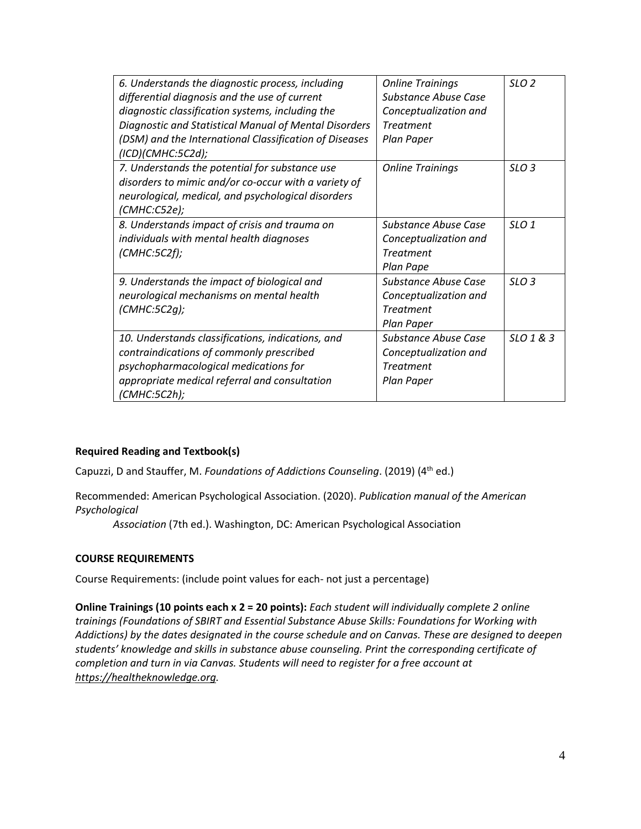| 6. Understands the diagnostic process, including       | <b>Online Trainings</b>     | SLO <sub>2</sub> |
|--------------------------------------------------------|-----------------------------|------------------|
| differential diagnosis and the use of current          | <b>Substance Abuse Case</b> |                  |
| diagnostic classification systems, including the       | Conceptualization and       |                  |
| Diagnostic and Statistical Manual of Mental Disorders  | <b>Treatment</b>            |                  |
| (DSM) and the International Classification of Diseases | Plan Paper                  |                  |
| (ICD)(CMHC:5C2d);                                      |                             |                  |
| 7. Understands the potential for substance use         | <b>Online Trainings</b>     | SLO <sub>3</sub> |
| disorders to mimic and/or co-occur with a variety of   |                             |                  |
| neurological, medical, and psychological disorders     |                             |                  |
| (CMHC:C52e);                                           |                             |                  |
| 8. Understands impact of crisis and trauma on          | Substance Abuse Case        | SLO1             |
| individuals with mental health diagnoses               | Conceptualization and       |                  |
| (CMHC:5C2f);                                           | <b>Treatment</b>            |                  |
|                                                        | Plan Pape                   |                  |
| 9. Understands the impact of biological and            | Substance Abuse Case        | SLO <sub>3</sub> |
| neurological mechanisms on mental health               | Conceptualization and       |                  |
| $(CMHC:5C2q)$ ;                                        | <b>Treatment</b>            |                  |
|                                                        | Plan Paper                  |                  |
| 10. Understands classifications, indications, and      | Substance Abuse Case        | SLO 1 & 3        |
| contraindications of commonly prescribed               | Conceptualization and       |                  |
| psychopharmacological medications for                  | <b>Treatment</b>            |                  |
| appropriate medical referral and consultation          | Plan Paper                  |                  |
| (CMHC:5C2h);                                           |                             |                  |

## **Required Reading and Textbook(s)**

Capuzzi, D and Stauffer, M. *Foundations of Addictions Counseling*. (2019) (4th ed.)

Recommended: American Psychological Association. (2020). *Publication manual of the American Psychological*

*Association* (7th ed.). Washington, DC: American Psychological Association

## **COURSE REQUIREMENTS**

Course Requirements: (include point values for each- not just a percentage)

**Online Trainings (10 points each x 2 = 20 points):** *Each student will individually complete 2 online trainings (Foundations of SBIRT and Essential Substance Abuse Skills: Foundations for Working with Addictions) by the dates designated in the course schedule and on Canvas. These are designed to deepen students' knowledge and skills in substance abuse counseling. Print the corresponding certificate of completion and turn in via Canvas. Students will need to register for a free account at [https://healtheknowledge.org.](https://healtheknowledge.org/)*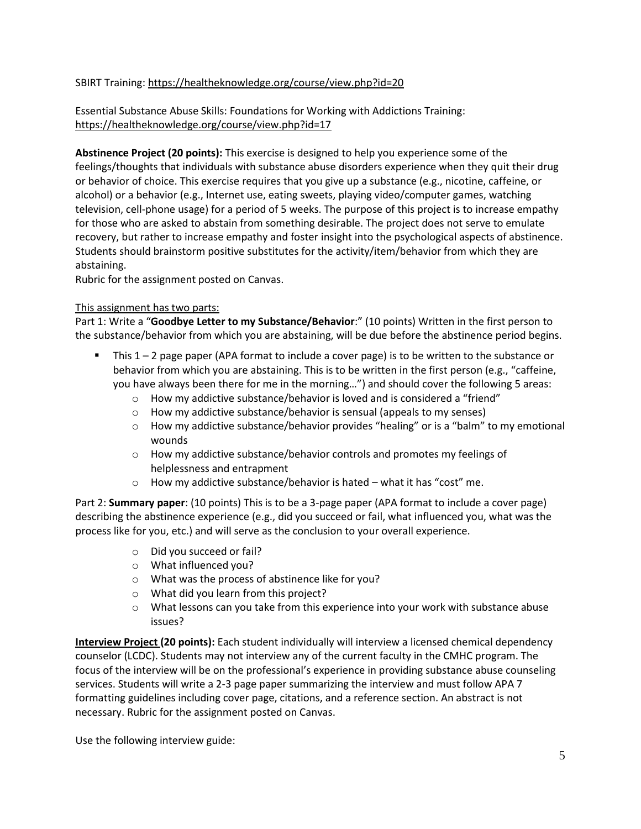# SBIRT Training:<https://healtheknowledge.org/course/view.php?id=20>

Essential Substance Abuse Skills: Foundations for Working with Addictions Training: <https://healtheknowledge.org/course/view.php?id=17>

**Abstinence Project (20 points):** This exercise is designed to help you experience some of the feelings/thoughts that individuals with substance abuse disorders experience when they quit their drug or behavior of choice. This exercise requires that you give up a substance (e.g., nicotine, caffeine, or alcohol) or a behavior (e.g., Internet use, eating sweets, playing video/computer games, watching television, cell-phone usage) for a period of 5 weeks. The purpose of this project is to increase empathy for those who are asked to abstain from something desirable. The project does not serve to emulate recovery, but rather to increase empathy and foster insight into the psychological aspects of abstinence. Students should brainstorm positive substitutes for the activity/item/behavior from which they are abstaining.

Rubric for the assignment posted on Canvas.

# This assignment has two parts:

Part 1: Write a "**Goodbye Letter to my Substance/Behavior**:" (10 points) Written in the first person to the substance/behavior from which you are abstaining, will be due before the abstinence period begins.

- This 1 2 page paper (APA format to include a cover page) is to be written to the substance or behavior from which you are abstaining. This is to be written in the first person (e.g., "caffeine, you have always been there for me in the morning…") and should cover the following 5 areas:
	- $\circ$  How my addictive substance/behavior is loved and is considered a "friend"
	- o How my addictive substance/behavior is sensual (appeals to my senses)
	- $\circ$  How my addictive substance/behavior provides "healing" or is a "balm" to my emotional wounds
	- o How my addictive substance/behavior controls and promotes my feelings of helplessness and entrapment
	- o How my addictive substance/behavior is hated what it has "cost" me.

Part 2: **Summary paper**: (10 points) This is to be a 3-page paper (APA format to include a cover page) describing the abstinence experience (e.g., did you succeed or fail, what influenced you, what was the process like for you, etc.) and will serve as the conclusion to your overall experience.

- o Did you succeed or fail?
- o What influenced you?
- o What was the process of abstinence like for you?
- o What did you learn from this project?
- $\circ$  What lessons can you take from this experience into your work with substance abuse issues?

**Interview Project (20 points):** Each student individually will interview a licensed chemical dependency counselor (LCDC). Students may not interview any of the current faculty in the CMHC program. The focus of the interview will be on the professional's experience in providing substance abuse counseling services. Students will write a 2-3 page paper summarizing the interview and must follow APA 7 formatting guidelines including cover page, citations, and a reference section. An abstract is not necessary. Rubric for the assignment posted on Canvas.

Use the following interview guide: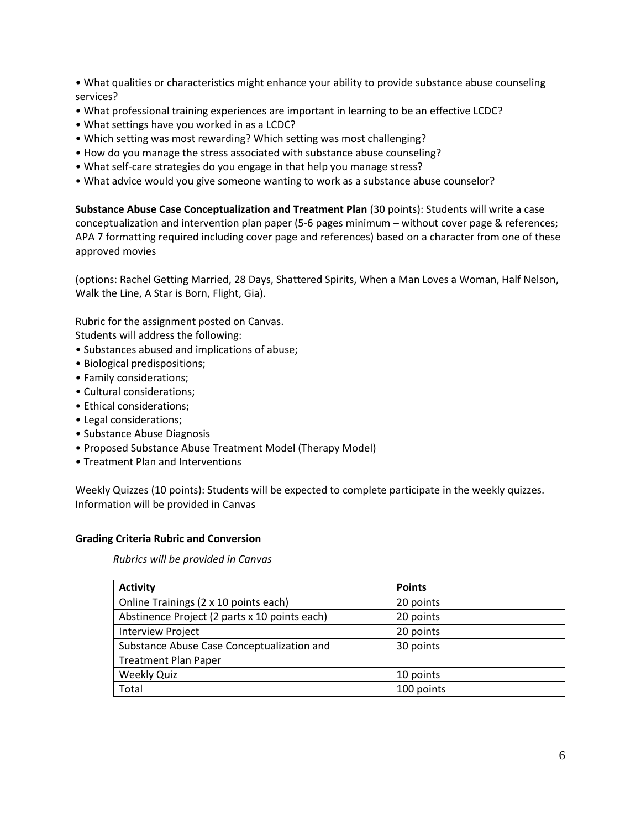• What qualities or characteristics might enhance your ability to provide substance abuse counseling services?

- What professional training experiences are important in learning to be an effective LCDC?
- What settings have you worked in as a LCDC?
- Which setting was most rewarding? Which setting was most challenging?
- How do you manage the stress associated with substance abuse counseling?
- What self-care strategies do you engage in that help you manage stress?
- What advice would you give someone wanting to work as a substance abuse counselor?

**Substance Abuse Case Conceptualization and Treatment Plan** (30 points): Students will write a case conceptualization and intervention plan paper (5-6 pages minimum – without cover page & references; APA 7 formatting required including cover page and references) based on a character from one of these approved movies

(options: Rachel Getting Married, 28 Days, Shattered Spirits, When a Man Loves a Woman, Half Nelson, Walk the Line, A Star is Born, Flight, Gia).

Rubric for the assignment posted on Canvas.

Students will address the following:

- Substances abused and implications of abuse;
- Biological predispositions;
- Family considerations;
- Cultural considerations;
- Ethical considerations;
- Legal considerations;
- Substance Abuse Diagnosis
- Proposed Substance Abuse Treatment Model (Therapy Model)
- Treatment Plan and Interventions

Weekly Quizzes (10 points): Students will be expected to complete participate in the weekly quizzes. Information will be provided in Canvas

## **Grading Criteria Rubric and Conversion**

*Rubrics will be provided in Canvas*

| <b>Activity</b>                               | <b>Points</b> |
|-----------------------------------------------|---------------|
| Online Trainings (2 x 10 points each)         | 20 points     |
| Abstinence Project (2 parts x 10 points each) | 20 points     |
| <b>Interview Project</b>                      | 20 points     |
| Substance Abuse Case Conceptualization and    | 30 points     |
| <b>Treatment Plan Paper</b>                   |               |
| <b>Weekly Quiz</b>                            | 10 points     |
| Total                                         | 100 points    |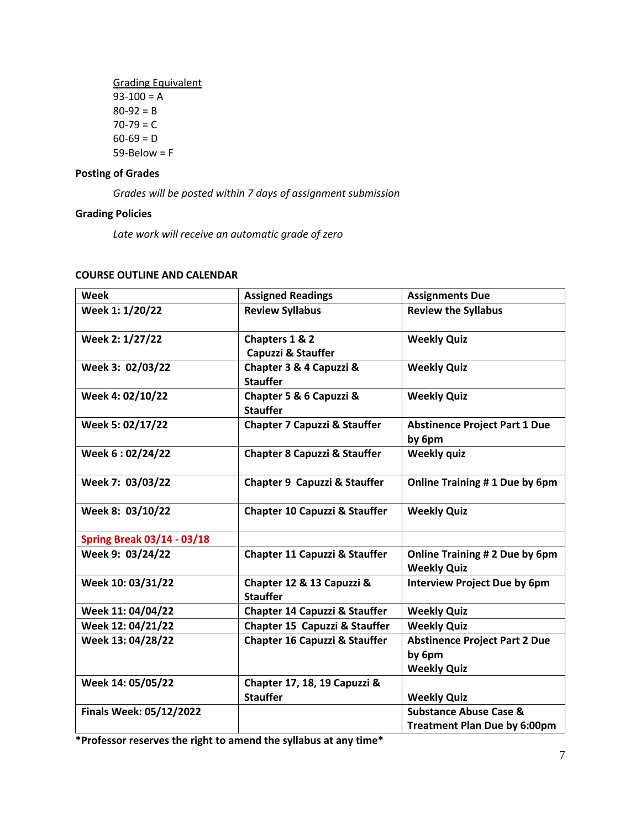Grading Equivalent  $93-100 = A$  $80-92 = B$  $70 - 79 = C$  $60-69 = D$  $59 - Below = F$ 

# **Posting of Grades**

*Grades will be posted within 7 days of assignment submission*

## **Grading Policies**

*Late work will receive an automatic grade of zero* 

| Week                              | <b>Assigned Readings</b>                        | <b>Assignments Due</b>                                                   |
|-----------------------------------|-------------------------------------------------|--------------------------------------------------------------------------|
| Week 1: 1/20/22                   | <b>Review Syllabus</b>                          | <b>Review the Syllabus</b>                                               |
| Week 2: 1/27/22                   | Chapters 1 & 2<br>Capuzzi & Stauffer            | <b>Weekly Quiz</b>                                                       |
| Week 3: 02/03/22                  | Chapter 3 & 4 Capuzzi &<br><b>Stauffer</b>      | <b>Weekly Quiz</b>                                                       |
| Week 4: 02/10/22                  | Chapter 5 & 6 Capuzzi &<br><b>Stauffer</b>      | <b>Weekly Quiz</b>                                                       |
| Week 5: 02/17/22                  | <b>Chapter 7 Capuzzi &amp; Stauffer</b>         | <b>Abstinence Project Part 1 Due</b><br>by 6pm                           |
| Week 6:02/24/22                   | <b>Chapter 8 Capuzzi &amp; Stauffer</b>         | <b>Weekly quiz</b>                                                       |
| Week 7: 03/03/22                  | Chapter 9 Capuzzi & Stauffer                    | Online Training #1 Due by 6pm                                            |
| Week 8: 03/10/22                  | <b>Chapter 10 Capuzzi &amp; Stauffer</b>        | <b>Weekly Quiz</b>                                                       |
| <b>Spring Break 03/14 - 03/18</b> |                                                 |                                                                          |
| Week 9: 03/24/22                  | <b>Chapter 11 Capuzzi &amp; Stauffer</b>        | Online Training # 2 Due by 6pm<br><b>Weekly Quiz</b>                     |
| Week 10: 03/31/22                 | Chapter 12 & 13 Capuzzi &<br><b>Stauffer</b>    | <b>Interview Project Due by 6pm</b>                                      |
| Week 11: 04/04/22                 | <b>Chapter 14 Capuzzi &amp; Stauffer</b>        | <b>Weekly Quiz</b>                                                       |
| Week 12: 04/21/22                 | Chapter 15 Capuzzi & Stauffer                   | <b>Weekly Quiz</b>                                                       |
| Week 13: 04/28/22                 | Chapter 16 Capuzzi & Stauffer                   | <b>Abstinence Project Part 2 Due</b><br>by 6pm<br><b>Weekly Quiz</b>     |
| Week 14: 05/05/22                 | Chapter 17, 18, 19 Capuzzi &<br><b>Stauffer</b> | <b>Weekly Quiz</b>                                                       |
| Finals Week: 05/12/2022           |                                                 | <b>Substance Abuse Case &amp;</b><br><b>Treatment Plan Due by 6:00pm</b> |

#### **COURSE OUTLINE AND CALENDAR**

**\*Professor reserves the right to amend the syllabus at any time\***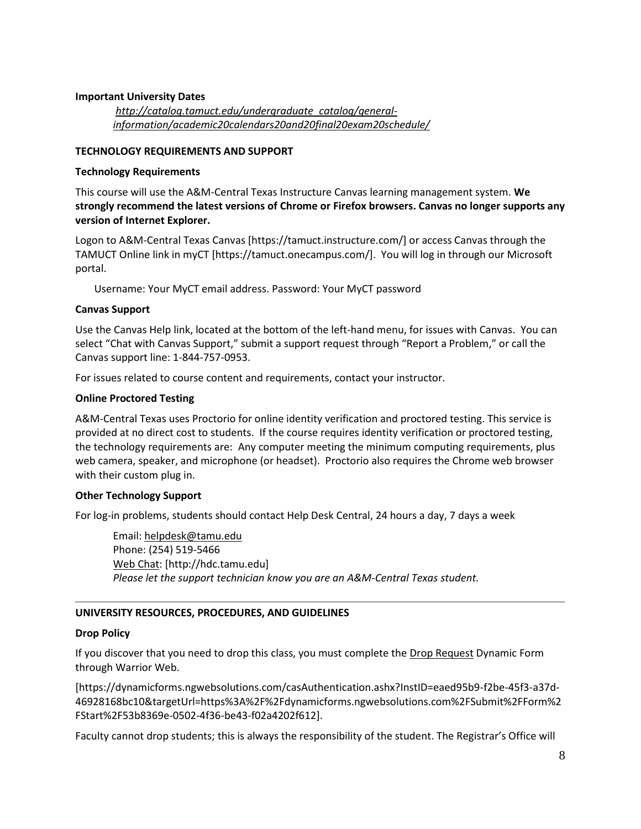### **Important University Dates**

*[http://catalog.tamuct.edu/undergraduate\\_catalog/general](http://catalog.tamuct.edu/undergraduate_catalog/general-information/academic20calendars20and20final20exam20schedule/)[information/academic20calendars20and20final20exam20schedule/](http://catalog.tamuct.edu/undergraduate_catalog/general-information/academic20calendars20and20final20exam20schedule/)*

#### **TECHNOLOGY REQUIREMENTS AND SUPPORT**

#### **Technology Requirements**

This course will use the A&M-Central Texas Instructure Canvas learning management system. **We strongly recommend the latest versions of Chrome or Firefox browsers. Canvas no longer supports any version of Internet Explorer.**

Logon to A&M-Central Texas Canvas [https://tamuct.instructure.com/] or access Canvas through the TAMUCT Online link in myCT [https://tamuct.onecampus.com/]. You will log in through our Microsoft portal.

Username: Your MyCT email address. Password: Your MyCT password

#### **Canvas Support**

Use the Canvas Help link, located at the bottom of the left-hand menu, for issues with Canvas. You can select "Chat with Canvas Support," submit a support request through "Report a Problem," or call the Canvas support line: 1-844-757-0953.

For issues related to course content and requirements, contact your instructor.

#### **Online Proctored Testing**

A&M-Central Texas uses Proctorio for online identity verification and proctored testing. This service is provided at no direct cost to students. If the course requires identity verification or proctored testing, the technology requirements are: Any computer meeting the minimum computing requirements, plus web camera, speaker, and microphone (or headset). Proctorio also requires the Chrome web browser with their custom plug in.

## **Other Technology Support**

For log-in problems, students should contact Help Desk Central, 24 hours a day, 7 days a week

Email: [helpdesk@tamu.edu](mailto:helpdesk@tamu.edu) Phone: (254) 519-5466 [Web Chat:](http://hdc.tamu.edu/) [http://hdc.tamu.edu] *Please let the support technician know you are an A&M-Central Texas student.*

## **UNIVERSITY RESOURCES, PROCEDURES, AND GUIDELINES**

## **Drop Policy**

If you discover that you need to drop this class, you must complete the [Drop Request](https://dynamicforms.ngwebsolutions.com/casAuthentication.ashx?InstID=eaed95b9-f2be-45f3-a37d-46928168bc10&targetUrl=https%3A%2F%2Fdynamicforms.ngwebsolutions.com%2FSubmit%2FForm%2FStart%2F53b8369e-0502-4f36-be43-f02a4202f612) Dynamic Form through Warrior Web.

[https://dynamicforms.ngwebsolutions.com/casAuthentication.ashx?InstID=eaed95b9-f2be-45f3-a37d-46928168bc10&targetUrl=https%3A%2F%2Fdynamicforms.ngwebsolutions.com%2FSubmit%2FForm%2 FStart%2F53b8369e-0502-4f36-be43-f02a4202f612].

Faculty cannot drop students; this is always the responsibility of the student. The Registrar's Office will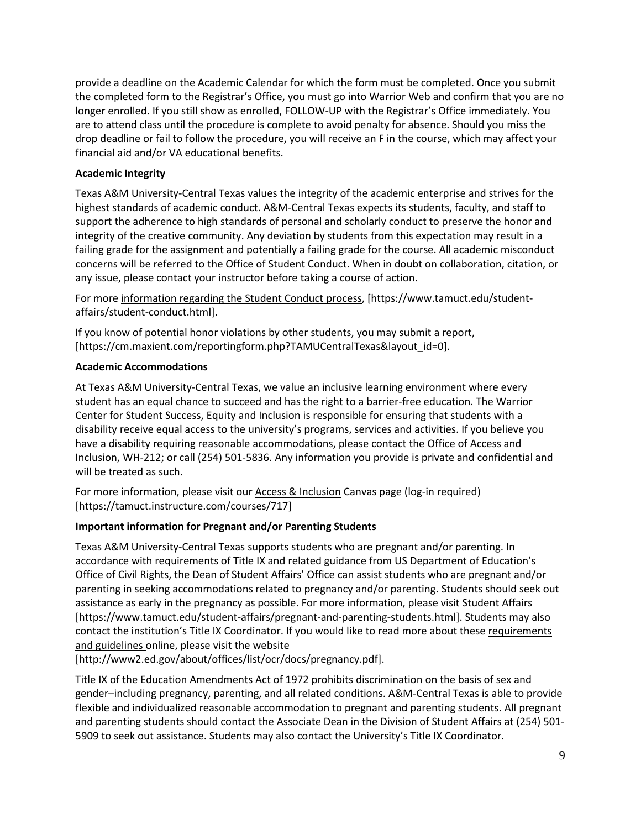provide a deadline on the Academic Calendar for which the form must be completed. Once you submit the completed form to the Registrar's Office, you must go into Warrior Web and confirm that you are no longer enrolled. If you still show as enrolled, FOLLOW-UP with the Registrar's Office immediately. You are to attend class until the procedure is complete to avoid penalty for absence. Should you miss the drop deadline or fail to follow the procedure, you will receive an F in the course, which may affect your financial aid and/or VA educational benefits.

# **Academic Integrity**

Texas A&M University-Central Texas values the integrity of the academic enterprise and strives for the highest standards of academic conduct. A&M-Central Texas expects its students, faculty, and staff to support the adherence to high standards of personal and scholarly conduct to preserve the honor and integrity of the creative community. Any deviation by students from this expectation may result in a failing grade for the assignment and potentially a failing grade for the course. All academic misconduct concerns will be referred to the Office of Student Conduct. When in doubt on collaboration, citation, or any issue, please contact your instructor before taking a course of action.

For more [information](https://nam04.safelinks.protection.outlook.com/?url=https%3A%2F%2Fwww.tamuct.edu%2Fstudent-affairs%2Fstudent-conduct.html&data=04%7C01%7Clisa.bunkowski%40tamuct.edu%7Ccfb6e486f24745f53e1a08d910055cb2%7C9eed4e3000f744849ff193ad8005acec%7C0%7C0%7C637558437485252160%7CUnknown%7CTWFpbGZsb3d8eyJWIjoiMC4wLjAwMDAiLCJQIjoiV2luMzIiLCJBTiI6Ik1haWwiLCJXVCI6Mn0%3D%7C1000&sdata=yjftDEVHvLX%2FhM%2FcFU0B99krV1RgEWR%2BJ%2BhvtoR6TYk%3D&reserved=0) regarding the Student Conduct process, [https://www.tamuct.edu/studentaffairs/student-conduct.html].

If you know of potential honor violations by other students, you may [submit](https://nam04.safelinks.protection.outlook.com/?url=https%3A%2F%2Fcm.maxient.com%2Freportingform.php%3FTAMUCentralTexas%26layout_id%3D0&data=04%7C01%7Clisa.bunkowski%40tamuct.edu%7Ccfb6e486f24745f53e1a08d910055cb2%7C9eed4e3000f744849ff193ad8005acec%7C0%7C0%7C637558437485262157%7CUnknown%7CTWFpbGZsb3d8eyJWIjoiMC4wLjAwMDAiLCJQIjoiV2luMzIiLCJBTiI6Ik1haWwiLCJXVCI6Mn0%3D%7C1000&sdata=CXGkOa6uPDPX1IMZ87z3aZDq2n91xfHKu4MMS43Ejjk%3D&reserved=0) a report, [https://cm.maxient.com/reportingform.php?TAMUCentralTexas&layout\_id=0].

## **Academic Accommodations**

At Texas A&M University-Central Texas, we value an inclusive learning environment where every student has an equal chance to succeed and has the right to a barrier-free education. The Warrior Center for Student Success, Equity and Inclusion is responsible for ensuring that students with a disability receive equal access to the university's programs, services and activities. If you believe you have a disability requiring reasonable accommodations, please contact the Office of Access and Inclusion, WH-212; or call (254) 501-5836. Any information you provide is private and confidential and will be treated as such.

For more information, please visit ou[r Access & Inclusion](https://tamuct.instructure.com/courses/717) Canvas page (log-in required) [https://tamuct.instructure.com/courses/717]

# **Important information for Pregnant and/or Parenting Students**

Texas A&M University-Central Texas supports students who are pregnant and/or parenting. In accordance with requirements of Title IX and related guidance from US Department of Education's Office of Civil Rights, the Dean of Student Affairs' Office can assist students who are pregnant and/or parenting in seeking accommodations related to pregnancy and/or parenting. Students should seek out assistance as early in the pregnancy as possible. For more information, please visit [Student Affairs](https://www.tamuct.edu/student-affairs/pregnant-and-parenting-students.html) [https://www.tamuct.edu/student-affairs/pregnant-and-parenting-students.html]. Students may also contact the institution's Title IX Coordinator. If you would like to read more about these requirements [and guidelines](http://www2.ed.gov/about/offices/list/ocr/docs/pregnancy.pdf) online, please visit the website

[http://www2.ed.gov/about/offices/list/ocr/docs/pregnancy.pdf].

Title IX of the Education Amendments Act of 1972 prohibits discrimination on the basis of sex and gender–including pregnancy, parenting, and all related conditions. A&M-Central Texas is able to provide flexible and individualized reasonable accommodation to pregnant and parenting students. All pregnant and parenting students should contact the Associate Dean in the Division of Student Affairs at (254) 501- 5909 to seek out assistance. Students may also contact the University's Title IX Coordinator.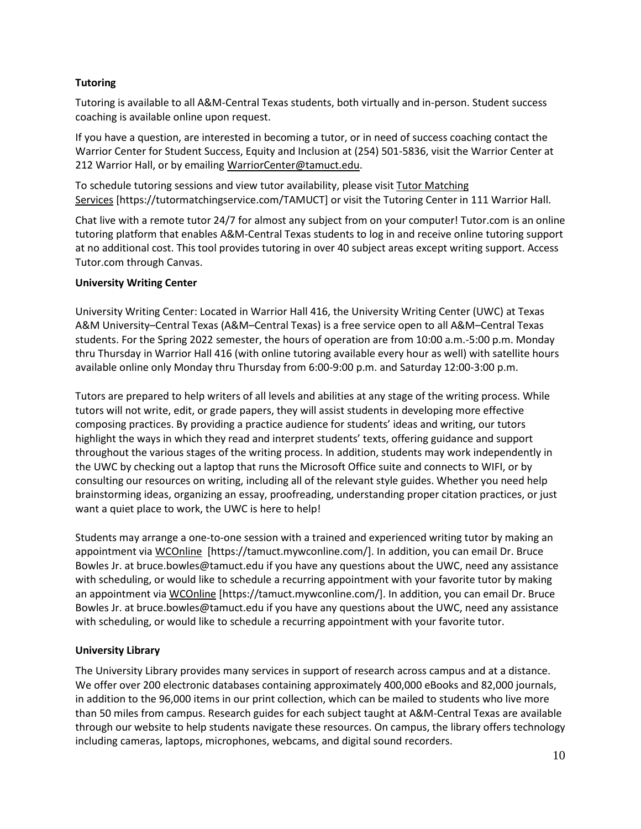# **Tutoring**

Tutoring is available to all A&M-Central Texas students, both virtually and in-person. Student success coaching is available online upon request.

If you have a question, are interested in becoming a tutor, or in need of success coaching contact the Warrior Center for Student Success, Equity and Inclusion at (254) 501-5836, visit the Warrior Center at 212 Warrior Hall, or by emailing [WarriorCenter@tamuct.edu.](mailto:WarriorCenter@tamuct.edu)

To schedule tutoring sessions and view tutor availability, please visit Tutor [Matching](https://tutormatchingservice.com/TAMUCT) [Services](https://tutormatchingservice.com/TAMUCT) [https://tutormatchingservice.com/TAMUCT] or visit the Tutoring Center in 111 Warrior Hall.

Chat live with a remote tutor 24/7 for almost any subject from on your computer! Tutor.com is an online tutoring platform that enables A&M-Central Texas students to log in and receive online tutoring support at no additional cost. This tool provides tutoring in over 40 subject areas except writing support. Access Tutor.com through Canvas.

## **University Writing Center**

University Writing Center: Located in Warrior Hall 416, the University Writing Center (UWC) at Texas A&M University–Central Texas (A&M–Central Texas) is a free service open to all A&M–Central Texas students. For the Spring 2022 semester, the hours of operation are from 10:00 a.m.-5:00 p.m. Monday thru Thursday in Warrior Hall 416 (with online tutoring available every hour as well) with satellite hours available online only Monday thru Thursday from 6:00-9:00 p.m. and Saturday 12:00-3:00 p.m.

Tutors are prepared to help writers of all levels and abilities at any stage of the writing process. While tutors will not write, edit, or grade papers, they will assist students in developing more effective composing practices. By providing a practice audience for students' ideas and writing, our tutors highlight the ways in which they read and interpret students' texts, offering guidance and support throughout the various stages of the writing process. In addition, students may work independently in the UWC by checking out a laptop that runs the Microsoft Office suite and connects to WIFI, or by consulting our resources on writing, including all of the relevant style guides. Whether you need help brainstorming ideas, organizing an essay, proofreading, understanding proper citation practices, or just want a quiet place to work, the UWC is here to help!

Students may arrange a one-to-one session with a trained and experienced writing tutor by making an appointment via [WCOnline](https://tamuct.mywconline.com/) [https://tamuct.mywconline.com/]. In addition, you can email Dr. Bruce Bowles Jr. at bruce.bowles@tamuct.edu if you have any questions about the UWC, need any assistance with scheduling, or would like to schedule a recurring appointment with your favorite tutor by making an appointment vi[a WCOnline](https://tamuct.mywconline.com/) [https://tamuct.mywconline.com/]. In addition, you can email Dr. Bruce Bowles Jr. at bruce.bowles@tamuct.edu if you have any questions about the UWC, need any assistance with scheduling, or would like to schedule a recurring appointment with your favorite tutor.

## **University Library**

The University Library provides many services in support of research across campus and at a distance. We offer over 200 electronic databases containing approximately 400,000 eBooks and 82,000 journals, in addition to the 96,000 items in our print collection, which can be mailed to students who live more than 50 miles from campus. Research guides for each subject taught at A&M-Central Texas are available through our website to help students navigate these resources. On campus, the library offers technology including cameras, laptops, microphones, webcams, and digital sound recorders.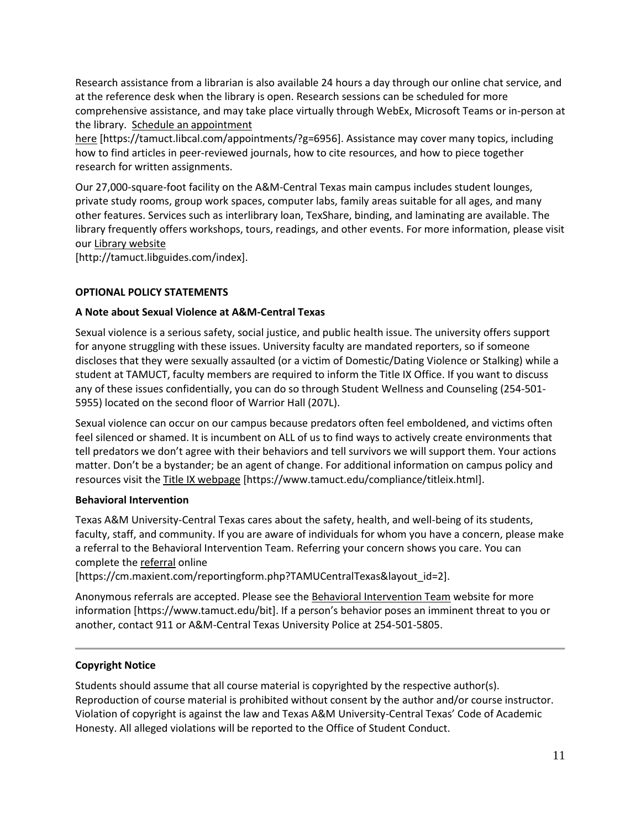Research assistance from a librarian is also available 24 hours a day through our online chat service, and at the reference desk when the library is open. Research sessions can be scheduled for more comprehensive assistance, and may take place virtually through WebEx, Microsoft Teams or in-person at the library. Schedule an [appointment](https://nam04.safelinks.protection.outlook.com/?url=https%3A%2F%2Ftamuct.libcal.com%2Fappointments%2F%3Fg%3D6956&data=04%7C01%7Clisa.bunkowski%40tamuct.edu%7Cde2c07d9f5804f09518008d9ab7ba6ff%7C9eed4e3000f744849ff193ad8005acec%7C0%7C0%7C637729369835011558%7CUnknown%7CTWFpbGZsb3d8eyJWIjoiMC4wLjAwMDAiLCJQIjoiV2luMzIiLCJBTiI6Ik1haWwiLCJXVCI6Mn0%3D%7C3000&sdata=KhtjgRSAw9aq%2FoBsB6wyu8b7PSuGN5EGPypzr3Ty2No%3D&reserved=0)

[here](https://nam04.safelinks.protection.outlook.com/?url=https%3A%2F%2Ftamuct.libcal.com%2Fappointments%2F%3Fg%3D6956&data=04%7C01%7Clisa.bunkowski%40tamuct.edu%7Cde2c07d9f5804f09518008d9ab7ba6ff%7C9eed4e3000f744849ff193ad8005acec%7C0%7C0%7C637729369835011558%7CUnknown%7CTWFpbGZsb3d8eyJWIjoiMC4wLjAwMDAiLCJQIjoiV2luMzIiLCJBTiI6Ik1haWwiLCJXVCI6Mn0%3D%7C3000&sdata=KhtjgRSAw9aq%2FoBsB6wyu8b7PSuGN5EGPypzr3Ty2No%3D&reserved=0) [https://tamuct.libcal.com/appointments/?g=6956]. Assistance may cover many topics, including how to find articles in peer-reviewed journals, how to cite resources, and how to piece together research for written assignments.

Our 27,000-square-foot facility on the A&M-Central Texas main campus includes student lounges, private study rooms, group work spaces, computer labs, family areas suitable for all ages, and many other features. Services such as interlibrary loan, TexShare, binding, and laminating are available. The library frequently offers workshops, tours, readings, and other events. For more information, please visit our Library [website](https://nam04.safelinks.protection.outlook.com/?url=https%3A%2F%2Ftamuct.libguides.com%2Findex&data=04%7C01%7Clisa.bunkowski%40tamuct.edu%7C7d8489e8839a4915335f08d916f067f2%7C9eed4e3000f744849ff193ad8005acec%7C0%7C0%7C637566044056484222%7CUnknown%7CTWFpbGZsb3d8eyJWIjoiMC4wLjAwMDAiLCJQIjoiV2luMzIiLCJBTiI6Ik1haWwiLCJXVCI6Mn0%3D%7C1000&sdata=2R755V6rcIyedGrd4Os5rkgn1PvhHKU3kUV1vBKiHFo%3D&reserved=0)

[http://tamuct.libguides.com/index].

# **OPTIONAL POLICY STATEMENTS**

# **A Note about Sexual Violence at A&M-Central Texas**

Sexual violence is a serious safety, social justice, and public health issue. The university offers support for anyone struggling with these issues. University faculty are mandated reporters, so if someone discloses that they were sexually assaulted (or a victim of Domestic/Dating Violence or Stalking) while a student at TAMUCT, faculty members are required to inform the Title IX Office. If you want to discuss any of these issues confidentially, you can do so through Student Wellness and Counseling (254-501- 5955) located on the second floor of Warrior Hall (207L).

Sexual violence can occur on our campus because predators often feel emboldened, and victims often feel silenced or shamed. It is incumbent on ALL of us to find ways to actively create environments that tell predators we don't agree with their behaviors and tell survivors we will support them. Your actions matter. Don't be a bystander; be an agent of change. For additional information on campus policy and resources visit the [Title IX webpage](https://www.tamuct.edu/compliance/titleix.html) [\[https://www.tamuct.edu/compliance/titleix.html\]](https://www.tamuct.edu/compliance/titleix.html).

## **Behavioral Intervention**

Texas A&M University-Central Texas cares about the safety, health, and well-being of its students, faculty, staff, and community. If you are aware of individuals for whom you have a concern, please make a referral to the Behavioral Intervention Team. Referring your concern shows you care. You can complete the [referral](https://cm.maxient.com/reportingform.php?TAMUCentralTexas&layout_id=2) online

[https://cm.maxient.com/reportingform.php?TAMUCentralTexas&layout\_id=2].

Anonymous referrals are accepted. Please see th[e Behavioral Intervention Team](https://www.tamuct.edu/bit) website for more information [https://www.tamuct.edu/bit]. If a person's behavior poses an imminent threat to you or another, contact 911 or A&M-Central Texas University Police at 254-501-5805.

# **Copyright Notice**

Students should assume that all course material is copyrighted by the respective author(s). Reproduction of course material is prohibited without consent by the author and/or course instructor. Violation of copyright is against the law and Texas A&M University-Central Texas' Code of Academic Honesty. All alleged violations will be reported to the Office of Student Conduct.